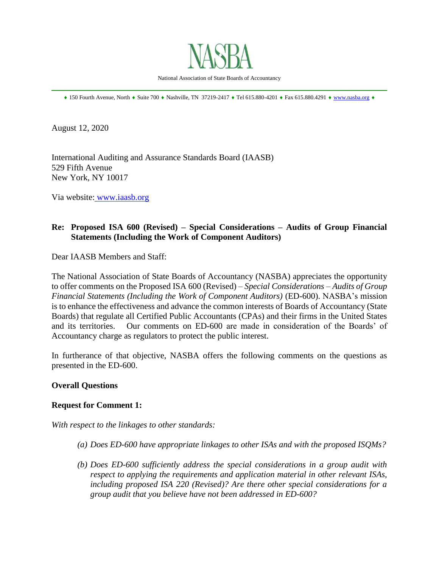

 $*$  150 Fourth Avenue, North  $*$  Suite 700  $*$  Nashville, TN 37219-2417  $*$  Tel 615.880-4201  $*$  Fax 615.880.4291  $*$  [www.nasba.org](http://www.nasba.org/)  $*$ 

August 12, 2020

International Auditing and Assurance Standards Board (IAASB) 529 Fifth Avenue New York, NY 10017

Via website: [www.iaasb.org](http://www.iaasb.org/)

## **Re: Proposed ISA 600 (Revised) – Special Considerations – Audits of Group Financial Statements (Including the Work of Component Auditors)**

Dear IAASB Members and Staff:

The National Association of State Boards of Accountancy (NASBA) appreciates the opportunity to offer comments on the Proposed ISA 600 (Revised) – *Special Considerations – Audits of Group Financial Statements (Including the Work of Component Auditors)* (ED-600). NASBA's mission is to enhance the effectiveness and advance the common interests of Boards of Accountancy (State Boards) that regulate all Certified Public Accountants (CPAs) and their firms in the United States and its territories. Our comments on ED-600 are made in consideration of the Boards' of Accountancy charge as regulators to protect the public interest.

In furtherance of that objective, NASBA offers the following comments on the questions as presented in the ED-600.

## **Overall Questions**

#### **Request for Comment 1:**

*With respect to the linkages to other standards:*

- *(a) Does ED-600 have appropriate linkages to other ISAs and with the proposed ISQMs?*
- *(b) Does ED-600 sufficiently address the special considerations in a group audit with respect to applying the requirements and application material in other relevant ISAs, including proposed ISA 220 (Revised)? Are there other special considerations for a group audit that you believe have not been addressed in ED-600?*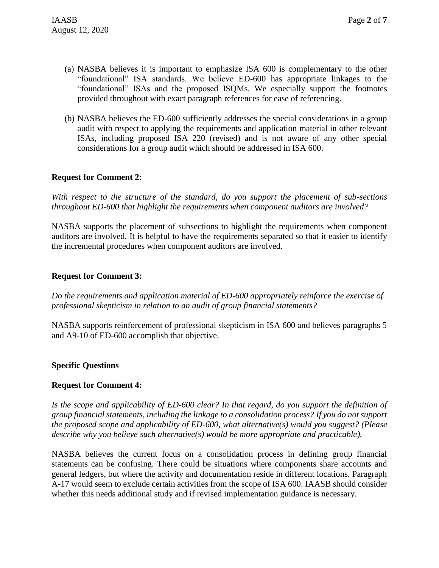- (a) NASBA believes it is important to emphasize ISA 600 is complementary to the other "foundational" ISA standards. We believe ED-600 has appropriate linkages to the "foundational" ISAs and the proposed ISQMs. We especially support the footnotes provided throughout with exact paragraph references for ease of referencing.
- (b) NASBA believes the ED-600 sufficiently addresses the special considerations in a group audit with respect to applying the requirements and application material in other relevant ISAs, including proposed ISA 220 (revised) and is not aware of any other special considerations for a group audit which should be addressed in ISA 600.

## **Request for Comment 2:**

*With respect to the structure of the standard, do you support the placement of sub-sections throughout ED-600 that highlight the requirements when component auditors are involved?*

NASBA supports the placement of subsections to highlight the requirements when component auditors are involved. It is helpful to have the requirements separated so that it easier to identify the incremental procedures when component auditors are involved.

## **Request for Comment 3:**

*Do the requirements and application material of ED-600 appropriately reinforce the exercise of professional skepticism in relation to an audit of group financial statements?*

NASBA supports reinforcement of professional skepticism in ISA 600 and believes paragraphs 5 and A9-10 of ED-600 accomplish that objective.

## **Specific Questions**

#### **Request for Comment 4:**

*Is the scope and applicability of ED-600 clear? In that regard, do you support the definition of group financial statements, including the linkage to a consolidation process? If you do not support the proposed scope and applicability of ED-600, what alternative(s) would you suggest? (Please describe why you believe such alternative(s) would be more appropriate and practicable).*

NASBA believes the current focus on a consolidation process in defining group financial statements can be confusing. There could be situations where components share accounts and general ledgers, but where the activity and documentation reside in different locations. Paragraph A-17 would seem to exclude certain activities from the scope of ISA 600. IAASB should consider whether this needs additional study and if revised implementation guidance is necessary.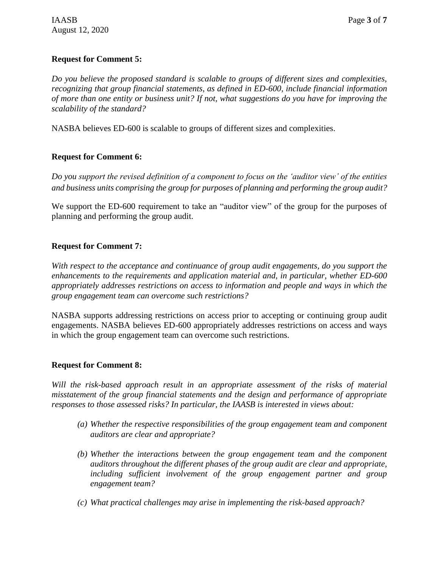# **Request for Comment 5:**

*Do you believe the proposed standard is scalable to groups of different sizes and complexities, recognizing that group financial statements, as defined in ED-600, include financial information of more than one entity or business unit? If not, what suggestions do you have for improving the scalability of the standard?*

NASBA believes ED-600 is scalable to groups of different sizes and complexities.

# **Request for Comment 6:**

*Do you support the revised definition of a component to focus on the 'auditor view' of the entities and business units comprising the group for purposes of planning and performing the group audit?*

We support the ED-600 requirement to take an "auditor view" of the group for the purposes of planning and performing the group audit.

# **Request for Comment 7:**

*With respect to the acceptance and continuance of group audit engagements, do you support the enhancements to the requirements and application material and, in particular, whether ED-600 appropriately addresses restrictions on access to information and people and ways in which the group engagement team can overcome such restrictions?*

NASBA supports addressing restrictions on access prior to accepting or continuing group audit engagements. NASBA believes ED-600 appropriately addresses restrictions on access and ways in which the group engagement team can overcome such restrictions.

# **Request for Comment 8:**

*Will the risk-based approach result in an appropriate assessment of the risks of material misstatement of the group financial statements and the design and performance of appropriate responses to those assessed risks? In particular, the IAASB is interested in views about:*

- *(a) Whether the respective responsibilities of the group engagement team and component auditors are clear and appropriate?*
- *(b) Whether the interactions between the group engagement team and the component auditors throughout the different phases of the group audit are clear and appropriate, including sufficient involvement of the group engagement partner and group engagement team?*
- *(c) What practical challenges may arise in implementing the risk-based approach?*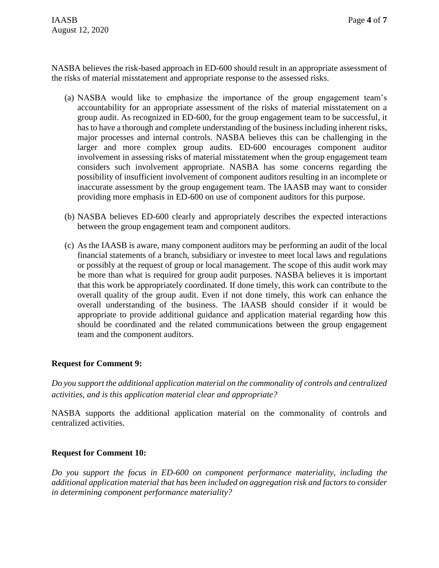NASBA believes the risk-based approach in ED-600 should result in an appropriate assessment of the risks of material misstatement and appropriate response to the assessed risks.

- (a) NASBA would like to emphasize the importance of the group engagement team's accountability for an appropriate assessment of the risks of material misstatement on a group audit. As recognized in ED-600, for the group engagement team to be successful, it has to have a thorough and complete understanding of the business including inherent risks, major processes and internal controls. NASBA believes this can be challenging in the larger and more complex group audits. ED-600 encourages component auditor involvement in assessing risks of material misstatement when the group engagement team considers such involvement appropriate. NASBA has some concerns regarding the possibility of insufficient involvement of component auditors resulting in an incomplete or inaccurate assessment by the group engagement team. The IAASB may want to consider providing more emphasis in ED-600 on use of component auditors for this purpose.
- (b) NASBA believes ED-600 clearly and appropriately describes the expected interactions between the group engagement team and component auditors.
- (c) As the IAASB is aware, many component auditors may be performing an audit of the local financial statements of a branch, subsidiary or investee to meet local laws and regulations or possibly at the request of group or local management. The scope of this audit work may be more than what is required for group audit purposes. NASBA believes it is important that this work be appropriately coordinated. If done timely, this work can contribute to the overall quality of the group audit. Even if not done timely, this work can enhance the overall understanding of the business. The IAASB should consider if it would be appropriate to provide additional guidance and application material regarding how this should be coordinated and the related communications between the group engagement team and the component auditors.

## **Request for Comment 9:**

*Do you support the additional application material on the commonality of controls and centralized activities, and is this application material clear and appropriate?*

NASBA supports the additional application material on the commonality of controls and centralized activities.

## **Request for Comment 10:**

*Do you support the focus in ED-600 on component performance materiality, including the additional application material that has been included on aggregation risk and factors to consider in determining component performance materiality?*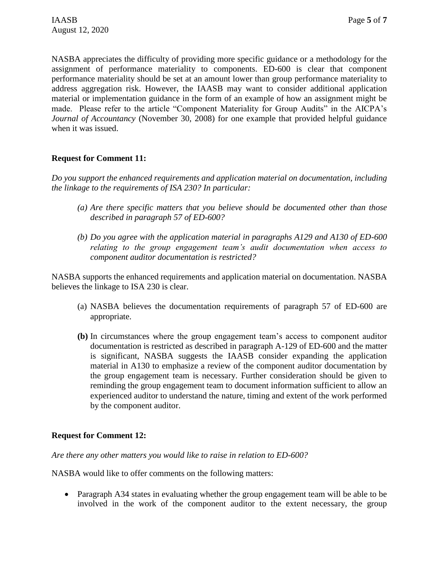NASBA appreciates the difficulty of providing more specific guidance or a methodology for the assignment of performance materiality to components. ED-600 is clear that component performance materiality should be set at an amount lower than group performance materiality to address aggregation risk. However, the IAASB may want to consider additional application material or implementation guidance in the form of an example of how an assignment might be made. Please refer to the article "Component Materiality for Group Audits" in the AICPA's *Journal of Accountancy* (November 30, 2008) for one example that provided helpful guidance when it was issued.

## **Request for Comment 11:**

*Do you support the enhanced requirements and application material on documentation, including the linkage to the requirements of ISA 230? In particular:*

- *(a) Are there specific matters that you believe should be documented other than those described in paragraph 57 of ED-600?*
- *(b) Do you agree with the application material in paragraphs A129 and A130 of ED-600 relating to the group engagement team's audit documentation when access to component auditor documentation is restricted?*

NASBA supports the enhanced requirements and application material on documentation. NASBA believes the linkage to ISA 230 is clear.

- (a) NASBA believes the documentation requirements of paragraph 57 of ED-600 are appropriate.
- **(b)** In circumstances where the group engagement team's access to component auditor documentation is restricted as described in paragraph A-129 of ED-600 and the matter is significant, NASBA suggests the IAASB consider expanding the application material in A130 to emphasize a review of the component auditor documentation by the group engagement team is necessary. Further consideration should be given to reminding the group engagement team to document information sufficient to allow an experienced auditor to understand the nature, timing and extent of the work performed by the component auditor.

## **Request for Comment 12:**

*Are there any other matters you would like to raise in relation to ED-600?*

NASBA would like to offer comments on the following matters:

• Paragraph A34 states in evaluating whether the group engagement team will be able to be involved in the work of the component auditor to the extent necessary, the group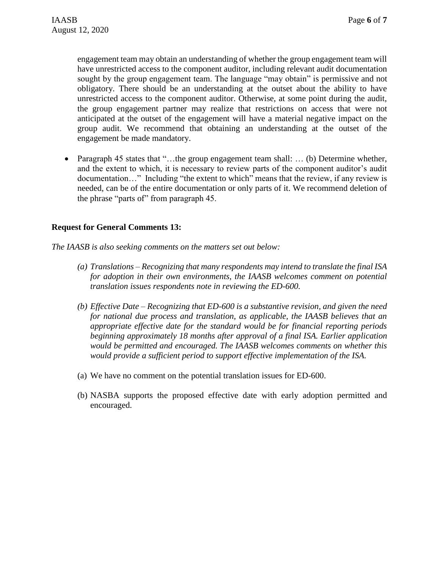engagement team may obtain an understanding of whether the group engagement team will have unrestricted access to the component auditor, including relevant audit documentation sought by the group engagement team. The language "may obtain" is permissive and not obligatory. There should be an understanding at the outset about the ability to have unrestricted access to the component auditor. Otherwise, at some point during the audit, the group engagement partner may realize that restrictions on access that were not anticipated at the outset of the engagement will have a material negative impact on the group audit. We recommend that obtaining an understanding at the outset of the engagement be made mandatory.

• Paragraph 45 states that "...the group engagement team shall: ... (b) Determine whether, and the extent to which, it is necessary to review parts of the component auditor's audit documentation…" Including "the extent to which" means that the review, if any review is needed, can be of the entire documentation or only parts of it. We recommend deletion of the phrase "parts of" from paragraph 45.

## **Request for General Comments 13:**

*The IAASB is also seeking comments on the matters set out below:*

- *(a) Translations – Recognizing that many respondents may intend to translate the final ISA for adoption in their own environments, the IAASB welcomes comment on potential translation issues respondents note in reviewing the ED-600.*
- *(b) Effective Date – Recognizing that ED-600 is a substantive revision, and given the need for national due process and translation, as applicable, the IAASB believes that an appropriate effective date for the standard would be for financial reporting periods beginning approximately 18 months after approval of a final ISA. Earlier application would be permitted and encouraged. The IAASB welcomes comments on whether this would provide a sufficient period to support effective implementation of the ISA.*
- (a) We have no comment on the potential translation issues for ED-600.
- (b) NASBA supports the proposed effective date with early adoption permitted and encouraged.